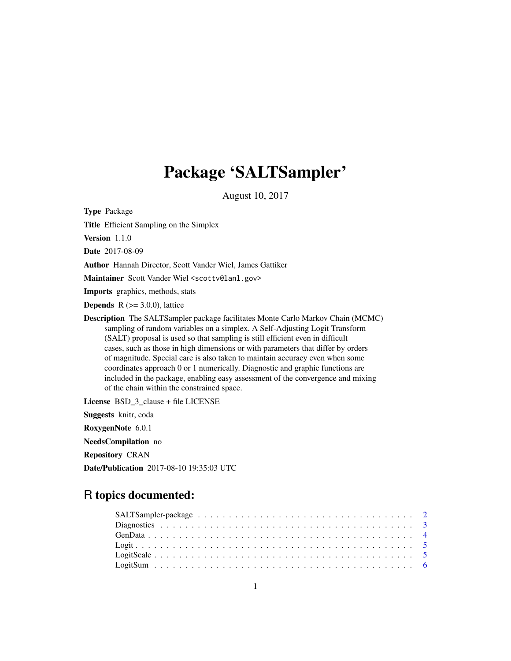# Package 'SALTSampler'

August 10, 2017

Type Package Title Efficient Sampling on the Simplex Version 1.1.0 Date 2017-08-09 Author Hannah Director, Scott Vander Wiel, James Gattiker Maintainer Scott Vander Wiel <scottv@lanl.gov> Imports graphics, methods, stats **Depends**  $R$  ( $>=$  3.0.0), lattice Description The SALTSampler package facilitates Monte Carlo Markov Chain (MCMC) sampling of random variables on a simplex. A Self-Adjusting Logit Transform (SALT) proposal is used so that sampling is still efficient even in difficult cases, such as those in high dimensions or with parameters that differ by orders of magnitude. Special care is also taken to maintain accuracy even when some coordinates approach 0 or 1 numerically. Diagnostic and graphic functions are included in the package, enabling easy assessment of the convergence and mixing of the chain within the constrained space. License BSD\_3\_clause + file LICENSE

Suggests knitr, coda

RoxygenNote 6.0.1

NeedsCompilation no

Repository CRAN

Date/Publication 2017-08-10 19:35:03 UTC

# R topics documented: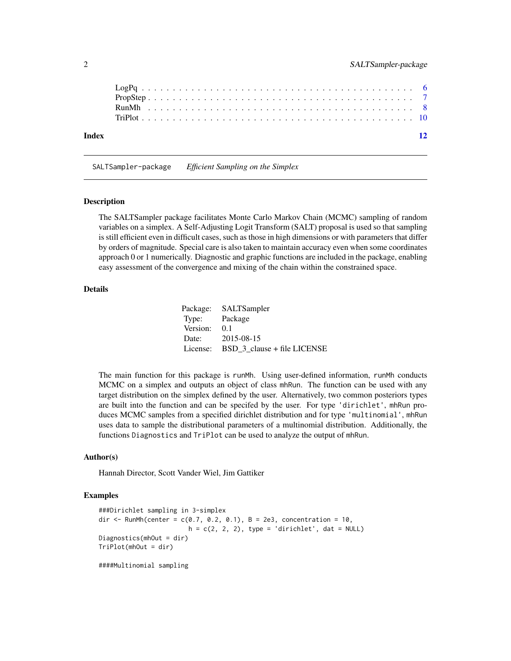<span id="page-1-0"></span>

| Index |  |  |  |  |  |  |  |  |  |  |  |  |  |  |  |  |  |  |  |  |  |  | $\overline{12}$ |
|-------|--|--|--|--|--|--|--|--|--|--|--|--|--|--|--|--|--|--|--|--|--|--|-----------------|

SALTSampler-package *Efficient Sampling on the Simplex*

#### Description

The SALTSampler package facilitates Monte Carlo Markov Chain (MCMC) sampling of random variables on a simplex. A Self-Adjusting Logit Transform (SALT) proposal is used so that sampling is still efficient even in difficult cases, such as those in high dimensions or with parameters that differ by orders of magnitude. Special care is also taken to maintain accuracy even when some coordinates approach 0 or 1 numerically. Diagnostic and graphic functions are included in the package, enabling easy assessment of the convergence and mixing of the chain within the constrained space.

# Details

|               | Package: SALTSampler        |
|---------------|-----------------------------|
| Type: Package |                             |
| Version:      | 0.1                         |
| Date:         | 2015-08-15                  |
| License:      | BSD 3 clause + file LICENSE |

The main function for this package is runMh. Using user-defined information, runMh conducts MCMC on a simplex and outputs an object of class mhRun. The function can be used with any target distribution on the simplex defined by the user. Alternatively, two common posteriors types are built into the function and can be specifed by the user. For type 'dirichlet', mhRun produces MCMC samples from a specified dirichlet distribution and for type 'multinomial', mhRun uses data to sample the distributional parameters of a multinomial distribution. Additionally, the functions Diagnostics and TriPlot can be used to analyze the output of mhRun.

#### Author(s)

Hannah Director, Scott Vander Wiel, Jim Gattiker

# Examples

```
###Dirichlet sampling in 3-simplex
dir <- RunMh(center = c(0.7, 0.2, 0.1), B = 2e3, concentration = 10,
                        h = c(2, 2, 2), type = 'dirichlet', dat = NULL)
Diagnostics(mhOut = dir)
TriPlot(mhOut = dir)
####Multinomial sampling
```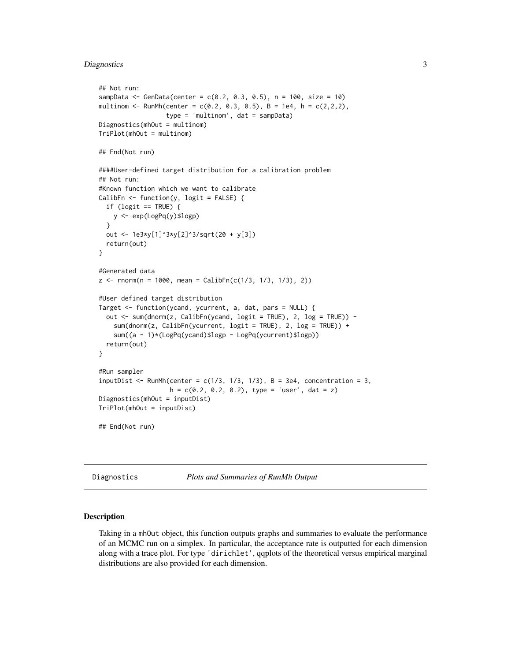# <span id="page-2-0"></span>Diagnostics 3

```
## Not run:
sampData <- GenData(center = c(0.2, 0.3, 0.5), n = 100, size = 10)
multinom <- RunMh(center = c(0.2, 0.3, 0.5), B = 1e4, h = c(2,2,2),
                 type = 'multinom', dat = sampData)
Diagnostics(mhOut = multinom)
TriPlot(mhOut = multinom)
## End(Not run)
####User-defined target distribution for a calibration problem
## Not run:
#Known function which we want to calibrate
CalibFn \leq function(y, logit = FALSE) {
 if (logit == TRUE) {
   y <- exp(LogPq(y)$logp)
 }
 out <- 1e3*y[1]^3*y[2]^3/sqrt(20 + y[3])
 return(out)
}
#Generated data
z \le rnorm(n = 1000, mean = CalibFn(c(1/3, 1/3, 1/3), 2))
#User defined target distribution
Target <- function(ycand, ycurrent, a, dat, pars = NULL) {
 out <- sum(dnorm(z, CalibFn(ycand, logit = TRUE), 2, log = TRUE)) -
    sum(dnorm(z, CalibFn(ycurrent, logit = TRUE), 2, log = TRUE)) +sum((a - 1)*(LogPq(ycand)$logp - LogPq(ycurrent)$logp))
 return(out)
}
#Run sampler
inputDist \leq RunMh(center = c(1/3, 1/3, 1/3), B = 3e4, concentration = 3,
                   h = c(0.2, 0.2, 0.2), type = 'user', dat = z)
Diagnostics(mhOut = inputDist)
TriPlot(mhOut = inputDist)
## End(Not run)
```
Diagnostics *Plots and Summaries of RunMh Output*

#### Description

Taking in a mhOut object, this function outputs graphs and summaries to evaluate the performance of an MCMC run on a simplex. In particular, the acceptance rate is outputted for each dimension along with a trace plot. For type 'dirichlet', qqplots of the theoretical versus empirical marginal distributions are also provided for each dimension.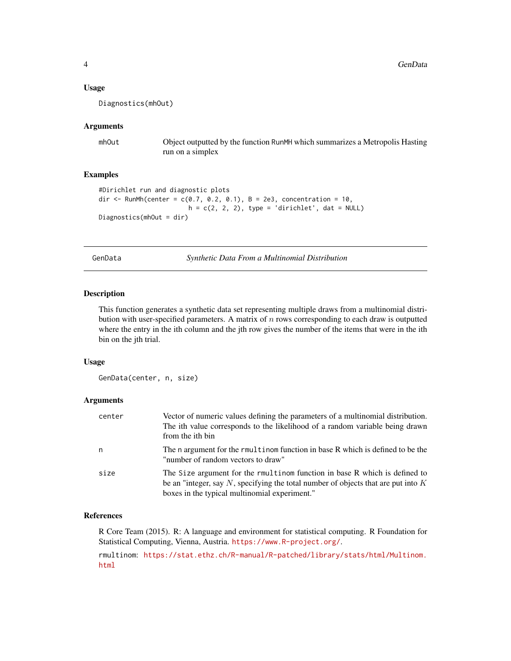#### <span id="page-3-0"></span>Usage

Diagnostics(mhOut)

## Arguments

mhOut Object outputted by the function RunMH which summarizes a Metropolis Hasting run on a simplex

# Examples

```
#Dirichlet run and diagnostic plots
dir <- RunMh(center = c(0.7, 0.2, 0.1), B = 2e3, concentration = 10,
                        h = c(2, 2, 2), type = 'dirichlet', dat = NULL)
Diagnostics(mhOut = dir)
```
GenData *Synthetic Data From a Multinomial Distribution*

# Description

This function generates a synthetic data set representing multiple draws from a multinomial distribution with user-specified parameters. A matrix of  $n$  rows corresponding to each draw is outputted where the entry in the ith column and the jth row gives the number of the items that were in the ith bin on the jth trial.

# Usage

GenData(center, n, size)

# Arguments

| center | Vector of numeric values defining the parameters of a multinomial distribution.<br>The ith value corresponds to the likelihood of a random variable being drawn<br>from the ith bin                                |
|--------|--------------------------------------------------------------------------------------------------------------------------------------------------------------------------------------------------------------------|
| n      | The n argument for the rmultinom function in base R which is defined to be the<br>"number of random vectors to draw"                                                                                               |
| size   | The Size argument for the rmultinom function in base R which is defined to<br>be an "integer, say N, specifying the total number of objects that are put into $K$<br>boxes in the typical multinomial experiment." |

#### References

R Core Team (2015). R: A language and environment for statistical computing. R Foundation for Statistical Computing, Vienna, Austria. <https://www.R-project.org/>.

rmultinom: [https://stat.ethz.ch/R-manual/R-patched/library/stats/html/Multinom.](https://stat.ethz.ch/R-manual/R-patched/library/stats/html/Multinom.html) [html](https://stat.ethz.ch/R-manual/R-patched/library/stats/html/Multinom.html)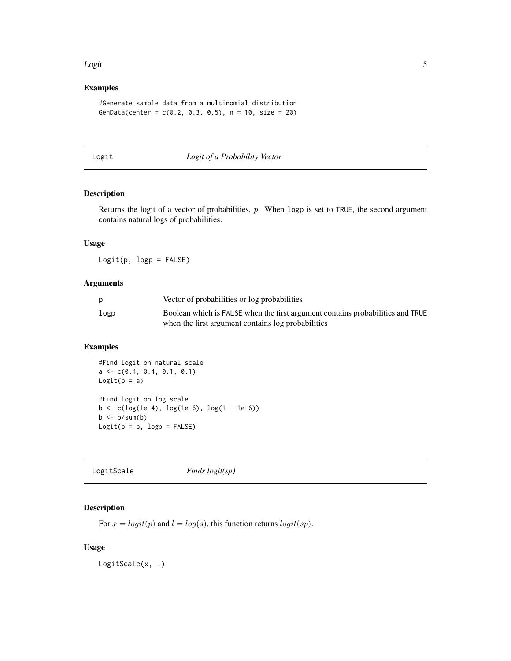#### <span id="page-4-0"></span>**Logit** 5

# Examples

```
#Generate sample data from a multinomial distribution
GenData(center = c(0.2, 0.3, 0.5), n = 10, size = 20)
```
Logit *Logit of a Probability Vector*

# Description

Returns the logit of a vector of probabilities,  $p$ . When logp is set to TRUE, the second argument contains natural logs of probabilities.

# Usage

 $Logit(p, logp = FALSE)$ 

#### Arguments

| D    | Vector of probabilities or log probabilities                                                                                         |
|------|--------------------------------------------------------------------------------------------------------------------------------------|
| logp | Boolean which is FALSE when the first argument contains probabilities and TRUE<br>when the first argument contains log probabilities |
|      |                                                                                                                                      |

# Examples

```
#Find logit on natural scale
a \leftarrow c(0.4, 0.4, 0.1, 0.1)Logit(p = a)#Find logit on log scale
b <- c(log(1e-4), log(1e-6), log(1 - 1e-6))
b \leftarrow b/sum(b)Logit(p = b, logp = FALSE)
```

| LogitScale | Finds $logit(sp)$ |  |
|------------|-------------------|--|
|------------|-------------------|--|

# Description

For  $x = logit(p)$  and  $l = log(s)$ , this function returns  $logit(sp)$ .

# Usage

LogitScale(x, l)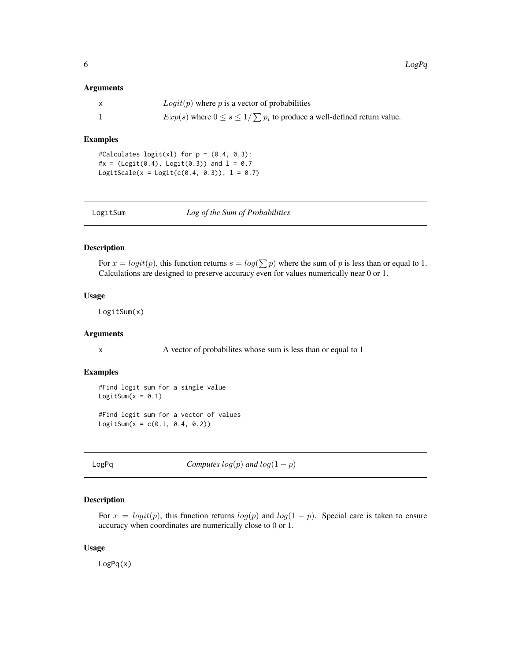#### <span id="page-5-0"></span>Arguments

| $Logit(p)$ where p is a vector of probabilities                                 |
|---------------------------------------------------------------------------------|
| $Exp(s)$ where $0 \le s \le 1/\sum p_i$ to produce a well-defined return value. |

# Examples

#Calculates logit(xl) for p = (0.4, 0.3): #x = (Logit(0.4), Logit(0.3)) and  $l = 0.7$  $Logitscale(x = Logistic(0.4, 0.3)), 1 = 0.7)$ 

| LogitSum | Log of the Sum of Probabilities |
|----------|---------------------------------|
|          |                                 |

# Description

For  $x = logit(p)$ , this function returns  $s = log(\sum p)$  where the sum of p is less than or equal to 1. Calculations are designed to preserve accuracy even for values numerically near 0 or 1.

#### Usage

LogitSum(x)

#### Arguments

x A vector of probabilities whose sum is less than or equal to 1

#### Examples

```
#Find logit sum for a single value
LogitSum(x = 0.1)
#Find logit sum for a vector of values
Logitsum(x = c(0.1, 0.4, 0.2))
```
LogPq *Computes*  $log(p)$  *and*  $log(1 - p)$ 

# Description

For  $x = logit(p)$ , this function returns  $log(p)$  and  $log(1 - p)$ . Special care is taken to ensure accuracy when coordinates are numerically close to 0 or 1.

#### Usage

LogPq(x)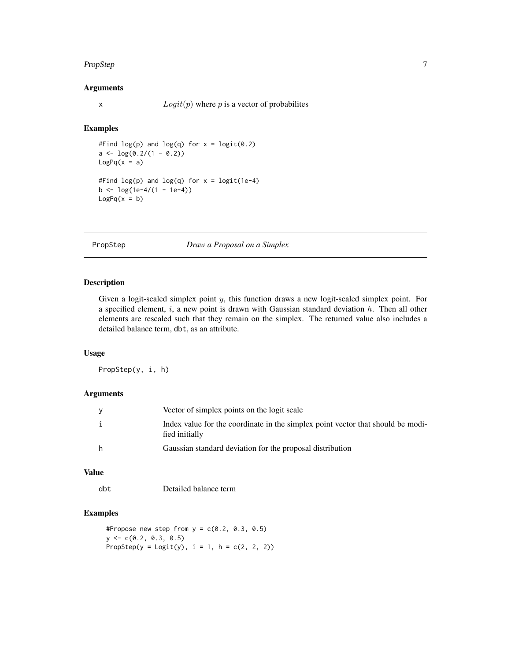#### <span id="page-6-0"></span>PropStep 7

# Arguments

x  $Logit(p)$  where p is a vector of probabilites

# Examples

```
#Find log(p) and log(q) for x = logit(0.2)a \leftarrow \log(0.2/(1 - 0.2))LogPq(x = a)#Find log(p) and log(q) for x = logit(1e-4)b \leftarrow \log(1e-4/(1 - 1e-4))LogPq(x = b)
```
PropStep *Draw a Proposal on a Simplex*

# Description

Given a logit-scaled simplex point  $y$ , this function draws a new logit-scaled simplex point. For a specified element,  $i$ , a new point is drawn with Gaussian standard deviation  $h$ . Then all other elements are rescaled such that they remain on the simplex. The returned value also includes a detailed balance term, dbt, as an attribute.

# Usage

PropStep(y, i, h)

#### Arguments

| y  | Vector of simplex points on the logit scale                                                       |
|----|---------------------------------------------------------------------------------------------------|
| j. | Index value for the coordinate in the simplex point vector that should be modi-<br>fied initially |
| h  | Gaussian standard deviation for the proposal distribution                                         |

# Value

dbt Detailed balance term

# Examples

```
#Propose new step from y = c(0.2, 0.3, 0.5)y \leq -c(0.2, 0.3, 0.5)PropStep(y = Logistic(y), i = 1, h = c(2, 2, 2))
```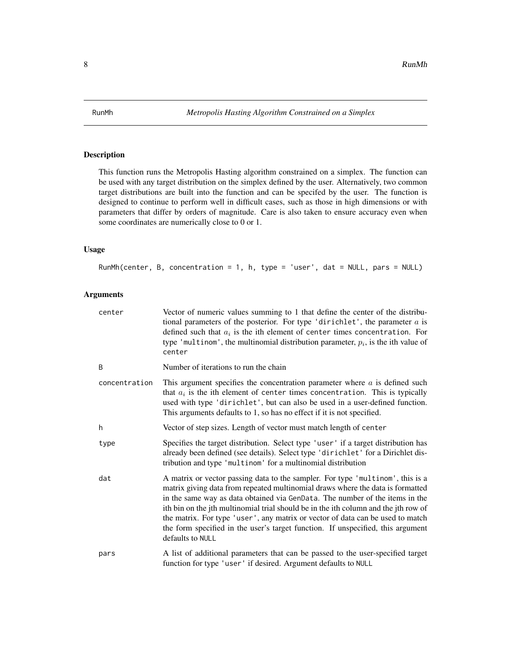<span id="page-7-0"></span>

# Description

This function runs the Metropolis Hasting algorithm constrained on a simplex. The function can be used with any target distribution on the simplex defined by the user. Alternatively, two common target distributions are built into the function and can be specifed by the user. The function is designed to continue to perform well in difficult cases, such as those in high dimensions or with parameters that differ by orders of magnitude. Care is also taken to ensure accuracy even when some coordinates are numerically close to 0 or 1.

# Usage

```
RunMh(center, B, concentration = 1, h, type = 'user', dat = NULL, pars = NULL)
```
# Arguments

| center        | Vector of numeric values summing to 1 that define the center of the distribu-<br>tional parameters of the posterior. For type 'dirichlet', the parameter $a$ is<br>defined such that $a_i$ is the ith element of center times concentration. For<br>type 'multinom', the multinomial distribution parameter, $p_i$ , is the ith value of<br>center                                                                                                                                                                               |
|---------------|----------------------------------------------------------------------------------------------------------------------------------------------------------------------------------------------------------------------------------------------------------------------------------------------------------------------------------------------------------------------------------------------------------------------------------------------------------------------------------------------------------------------------------|
| B             | Number of iterations to run the chain                                                                                                                                                                                                                                                                                                                                                                                                                                                                                            |
| concentration | This argument specifies the concentration parameter where $a$ is defined such<br>that $a_i$ is the ith element of center times concentration. This is typically<br>used with type 'dirichlet', but can also be used in a user-defined function.<br>This arguments defaults to 1, so has no effect if it is not specified.                                                                                                                                                                                                        |
| h             | Vector of step sizes. Length of vector must match length of center                                                                                                                                                                                                                                                                                                                                                                                                                                                               |
| type          | Specifies the target distribution. Select type 'user' if a target distribution has<br>already been defined (see details). Select type 'dirichlet' for a Dirichlet dis-<br>tribution and type 'multinom' for a multinomial distribution                                                                                                                                                                                                                                                                                           |
| dat           | A matrix or vector passing data to the sampler. For type 'multinom', this is a<br>matrix giving data from repeated multinomial draws where the data is formatted<br>in the same way as data obtained via GenData. The number of the items in the<br>ith bin on the jth multinomial trial should be in the ith column and the jth row of<br>the matrix. For type 'user', any matrix or vector of data can be used to match<br>the form specified in the user's target function. If unspecified, this argument<br>defaults to NULL |
| pars          | A list of additional parameters that can be passed to the user-specified target<br>function for type 'user' if desired. Argument defaults to NULL                                                                                                                                                                                                                                                                                                                                                                                |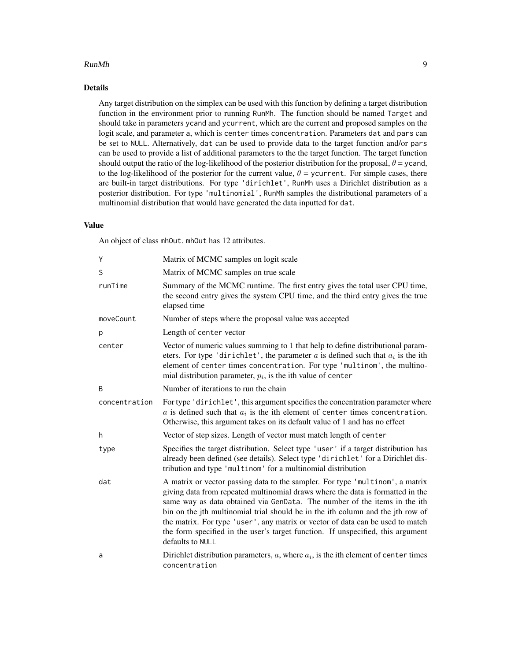#### RunMh 99

# Details

Any target distribution on the simplex can be used with this function by defining a target distribution function in the environment prior to running RunMh. The function should be named Target and should take in parameters ycand and ycurrent, which are the current and proposed samples on the logit scale, and parameter a, which is center times concentration. Parameters dat and pars can be set to NULL. Alternatively, dat can be used to provide data to the target function and/or pars can be used to provide a list of additional parameters to the the target function. The target function should output the ratio of the log-likelihood of the posterior distribution for the proposal,  $\theta$  = ycand, to the log-likelihood of the posterior for the current value,  $\theta$  = ycurrent. For simple cases, there are built-in target distributions. For type 'dirichlet', RunMh uses a Dirichlet distribution as a posterior distribution. For type 'multinomial', RunMh samples the distributional parameters of a multinomial distribution that would have generated the data inputted for dat.

# Value

An object of class mhOut. mhOut has 12 attributes.

| Y             | Matrix of MCMC samples on logit scale                                                                                                                                                                                                                                                                                                                                                                                                                                                                                    |
|---------------|--------------------------------------------------------------------------------------------------------------------------------------------------------------------------------------------------------------------------------------------------------------------------------------------------------------------------------------------------------------------------------------------------------------------------------------------------------------------------------------------------------------------------|
| S             | Matrix of MCMC samples on true scale                                                                                                                                                                                                                                                                                                                                                                                                                                                                                     |
| runTime       | Summary of the MCMC runtime. The first entry gives the total user CPU time,<br>the second entry gives the system CPU time, and the third entry gives the true<br>elapsed time                                                                                                                                                                                                                                                                                                                                            |
| moveCount     | Number of steps where the proposal value was accepted                                                                                                                                                                                                                                                                                                                                                                                                                                                                    |
| p             | Length of center vector                                                                                                                                                                                                                                                                                                                                                                                                                                                                                                  |
| center        | Vector of numeric values summing to 1 that help to define distributional param-<br>eters. For type 'dirichlet', the parameter $a$ is defined such that $a_i$ is the ith<br>element of center times concentration. For type 'multinom', the multino-<br>mial distribution parameter, $p_i$ , is the ith value of center                                                                                                                                                                                                   |
| B             | Number of iterations to run the chain                                                                                                                                                                                                                                                                                                                                                                                                                                                                                    |
| concentration | For type 'dirichlet', this argument specifies the concentration parameter where<br>$a$ is defined such that $a_i$ is the ith element of center times concentration.<br>Otherwise, this argument takes on its default value of 1 and has no effect                                                                                                                                                                                                                                                                        |
| h.            | Vector of step sizes. Length of vector must match length of center                                                                                                                                                                                                                                                                                                                                                                                                                                                       |
| type          | Specifies the target distribution. Select type 'user' if a target distribution has<br>already been defined (see details). Select type 'dirichlet' for a Dirichlet dis-<br>tribution and type 'multinom' for a multinomial distribution                                                                                                                                                                                                                                                                                   |
| dat           | A matrix or vector passing data to the sampler. For type 'multinom', a matrix<br>giving data from repeated multinomial draws where the data is formatted in the<br>same way as data obtained via GenData. The number of the items in the ith<br>bin on the jth multinomial trial should be in the ith column and the jth row of<br>the matrix. For type 'user', any matrix or vector of data can be used to match<br>the form specified in the user's target function. If unspecified, this argument<br>defaults to NULL |
| a             | Dirichlet distribution parameters, $a$ , where $a_i$ , is the ith element of center times<br>concentration                                                                                                                                                                                                                                                                                                                                                                                                               |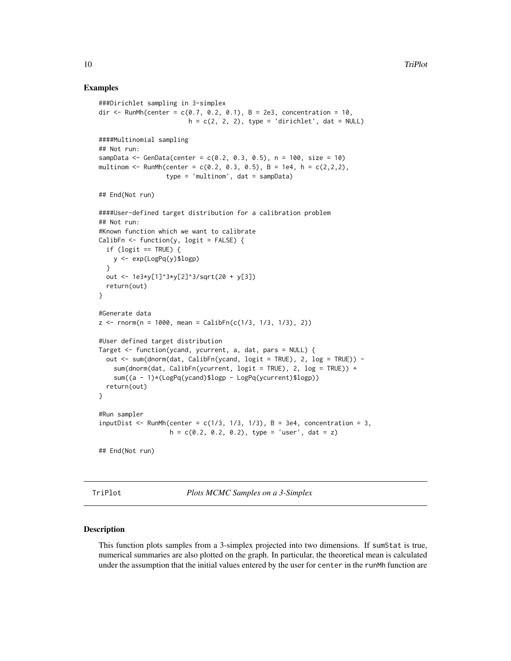# Examples

```
###Dirichlet sampling in 3-simplex
dir <- RunMh(center = c(0.7, 0.2, 0.1), B = 2e3, concentration = 10,
                        h = c(2, 2, 2), type = 'dirichlet', dat = NULL)
####Multinomial sampling
## Not run:
sampData <- GenData(center = c(0.2, 0.3, 0.5), n = 100, size = 10)
multinom \leq RunMh(center = c(0.2, 0.3, 0.5), B = 1e4, h = c(2,2,2),
                  type = 'multip + , dat = sample## End(Not run)
####User-defined target distribution for a calibration problem
## Not run:
#Known function which we want to calibrate
CalibFn \leq function(y, logit = FALSE) {
  if (logit == TRUE) {
    y <- exp(LogPq(y)$logp)
  }
  out <- 1e3*y[1]^3*y[2]^3/sqrt(20 + y[3])
  return(out)
}
#Generate data
z \le rnorm(n = 1000, mean = CalibFn(c(1/3, 1/3, 1/3), 2))
#User defined target distribution
Target <- function(ycand, ycurrent, a, dat, pars = NULL) {
  out <- sum(dnorm(dat, CalibFn(ycand, logit = TRUE), 2, log = TRUE)) -
    sum(dnorm(dat, CalibFn(ycurrent, logit = TRUE), 2, log = TRUE)) +
    sum((a - 1)*(LogPq(ycand)$logp - LogPq(ycurrent)$logp))
  return(out)
}
#Run sampler
inputDist <- RunMh(center = c(1/3, 1/3, 1/3), B = 3e4, concentration = 3,
                   h = c(0.2, 0.2, 0.2), type = 'user', dat = z)
## End(Not run)
```
TriPlot *Plots MCMC Samples on a 3-Simplex*

#### Description

This function plots samples from a 3-simplex projected into two dimensions. If sumStat is true, numerical summaries are also plotted on the graph. In particular, the theoretical mean is calculated under the assumption that the initial values entered by the user for center in the runMh function are

<span id="page-9-0"></span>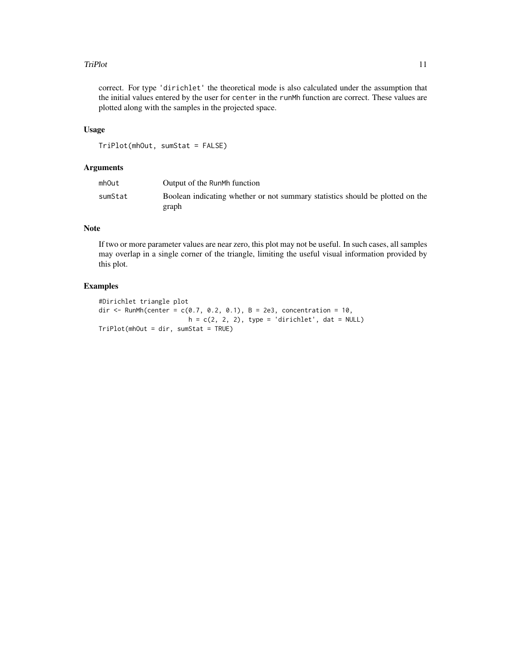#### TriPlot 11

correct. For type 'dirichlet' the theoretical mode is also calculated under the assumption that the initial values entered by the user for center in the runMh function are correct. These values are plotted along with the samples in the projected space.

#### Usage

```
TriPlot(mhOut, sumStat = FALSE)
```
#### Arguments

| mhOut   | Output of the RunMh function                                                           |
|---------|----------------------------------------------------------------------------------------|
| sumStat | Boolean indicating whether or not summary statistics should be plotted on the<br>graph |

# Note

If two or more parameter values are near zero, this plot may not be useful. In such cases, all samples may overlap in a single corner of the triangle, limiting the useful visual information provided by this plot.

# Examples

```
#Dirichlet triangle plot
dir <- RunMh(center = c(0.7, 0.2, 0.1), B = 2e3, concentration = 10,
                       h = c(2, 2, 2), type = 'dirichlet', dat = NULL)
TriPlot(mhOut = dir, sumStat = TRUE)
```